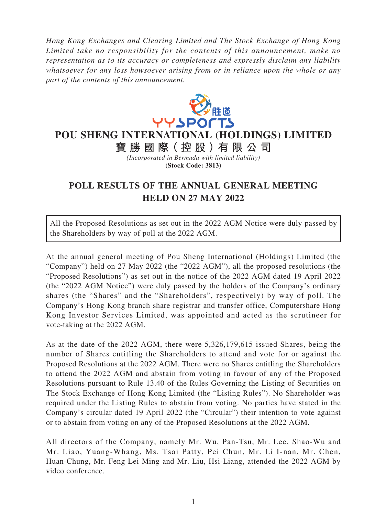*Hong Kong Exchanges and Clearing Limited and The Stock Exchange of Hong Kong Limited take no responsibility for the contents of this announcement, make no representation as to its accuracy or completeness and expressly disclaim any liability whatsoever for any loss howsoever arising from or in reliance upon the whole or any part of the contents of this announcement.*



**POU SHENG INTERNATIONAL (HOLDINGS) LIMITED**

**寶勝國際( 控 股 )有 限公司** *(Incorporated in Bermuda with limited liability)*

**(Stock Code: 3813)**

## **POLL RESULTS OF THE ANNUAL GENERAL MEETING HELD ON 27 MAY 2022**

All the Proposed Resolutions as set out in the 2022 AGM Notice were duly passed by the Shareholders by way of poll at the 2022 AGM.

At the annual general meeting of Pou Sheng International (Holdings) Limited (the "Company") held on 27 May 2022 (the "2022 AGM"), all the proposed resolutions (the "Proposed Resolutions") as set out in the notice of the 2022 AGM dated 19 April 2022 (the "2022 AGM Notice") were duly passed by the holders of the Company's ordinary shares (the "Shares" and the "Shareholders", respectively) by way of poll. The Company's Hong Kong branch share registrar and transfer office, Computershare Hong Kong Investor Services Limited, was appointed and acted as the scrutineer for vote-taking at the 2022 AGM.

As at the date of the 2022 AGM, there were 5,326,179,615 issued Shares, being the number of Shares entitling the Shareholders to attend and vote for or against the Proposed Resolutions at the 2022 AGM. There were no Shares entitling the Shareholders to attend the 2022 AGM and abstain from voting in favour of any of the Proposed Resolutions pursuant to Rule 13.40 of the Rules Governing the Listing of Securities on The Stock Exchange of Hong Kong Limited (the "Listing Rules"). No Shareholder was required under the Listing Rules to abstain from voting. No parties have stated in the Company's circular dated 19 April 2022 (the "Circular") their intention to vote against or to abstain from voting on any of the Proposed Resolutions at the 2022 AGM.

All directors of the Company, namely Mr. Wu, Pan-Tsu, Mr. Lee, Shao-Wu and Mr. Liao, Yuang-Whang, Ms. Tsai Patty, Pei Chun, Mr. Li I-nan, Mr. Chen, Huan-Chung, Mr. Feng Lei Ming and Mr. Liu, Hsi-Liang, attended the 2022 AGM by video conference.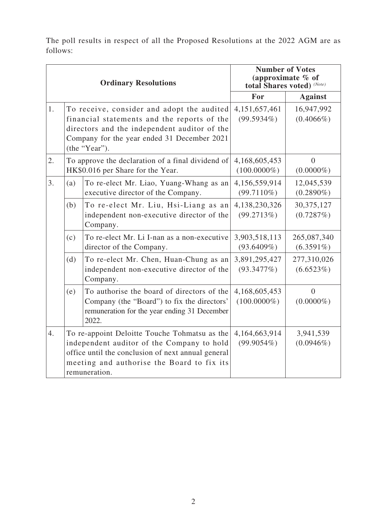The poll results in respect of all the Proposed Resolutions at the 2022 AGM are as follows:

|    | <b>Ordinary Resolutions</b>                                                                                                                                                                               |                                                                                                                                                                                                                  | <b>Number of Votes</b><br>(approximate $\%$ of<br>total Shares voted) (Note) |                                |
|----|-----------------------------------------------------------------------------------------------------------------------------------------------------------------------------------------------------------|------------------------------------------------------------------------------------------------------------------------------------------------------------------------------------------------------------------|------------------------------------------------------------------------------|--------------------------------|
|    |                                                                                                                                                                                                           |                                                                                                                                                                                                                  | For                                                                          | <b>Against</b>                 |
| 1. | To receive, consider and adopt the audited<br>financial statements and the reports of the<br>directors and the independent auditor of the<br>Company for the year ended 31 December 2021<br>(the "Year"). |                                                                                                                                                                                                                  | 4,151,657,461<br>$(99.5934\%)$                                               | 16,947,992<br>$(0.4066\%)$     |
| 2. |                                                                                                                                                                                                           | To approve the declaration of a final dividend of<br>HK\$0.016 per Share for the Year.                                                                                                                           | 4,168,605,453<br>$(100.0000\%)$                                              | $\overline{0}$<br>$(0.0000\%)$ |
| 3. | (a)                                                                                                                                                                                                       | To re-elect Mr. Liao, Yuang-Whang as an<br>executive director of the Company.                                                                                                                                    | 4,156,559,914<br>$(99.7110\%)$                                               | 12,045,539<br>$(0.2890\%)$     |
|    | (b)                                                                                                                                                                                                       | To re-elect Mr. Liu, Hsi-Liang as an<br>independent non-executive director of the<br>Company.                                                                                                                    | 4,138,230,326<br>(99.2713%)                                                  | 30, 375, 127<br>(0.7287%)      |
|    | (c)                                                                                                                                                                                                       | To re-elect Mr. Li I-nan as a non-executive<br>director of the Company.                                                                                                                                          | 3,903,518,113<br>$(93.6409\%)$                                               | 265,087,340<br>$(6.3591\%)$    |
|    | (d)                                                                                                                                                                                                       | To re-elect Mr. Chen, Huan-Chung as an<br>independent non-executive director of the<br>Company.                                                                                                                  | 3,891,295,427<br>(93.3477%)                                                  | 277,310,026<br>(6.6523%)       |
|    | (e)                                                                                                                                                                                                       | To authorise the board of directors of the<br>Company (the "Board") to fix the directors'<br>remuneration for the year ending 31 December<br>2022.                                                               | 4,168,605,453<br>$(100.0000\%)$                                              | $\theta$<br>$(0.0000\%)$       |
| 4. |                                                                                                                                                                                                           | To re-appoint Deloitte Touche Tohmatsu as the<br>independent auditor of the Company to hold<br>office until the conclusion of next annual general<br>meeting and authorise the Board to fix its<br>remuneration. | 4,164,663,914<br>$(99.9054\%)$                                               | 3,941,539<br>$(0.0946\%)$      |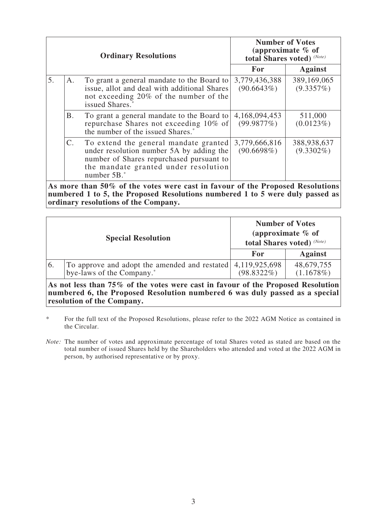|    | <b>Ordinary Resolutions</b>                                                    |                                                                                                                                                                                      | <b>Number of Votes</b><br>(approximate $%$ of<br>total Shares voted) (Note) |                             |  |
|----|--------------------------------------------------------------------------------|--------------------------------------------------------------------------------------------------------------------------------------------------------------------------------------|-----------------------------------------------------------------------------|-----------------------------|--|
|    |                                                                                |                                                                                                                                                                                      | For                                                                         | <b>Against</b>              |  |
| 5. | Α.                                                                             | To grant a general mandate to the Board to<br>issue, allot and deal with additional Shares<br>not exceeding 20% of the number of the<br>issued Shares.                               | 3,779,436,388<br>(90.6643%)                                                 | 389,169,065<br>(9.3357%)    |  |
|    | Β.                                                                             | To grant a general mandate to the Board to<br>repurchase Shares not exceeding 10% of<br>the number of the issued Shares. <sup>*</sup>                                                | 4,168,094,453<br>(99.9877%)                                                 | 511,000<br>(0.0123%)        |  |
|    | $\mathsf{C}$ .                                                                 | To extend the general mandate granted<br>under resolution number 5A by adding the<br>number of Shares repurchased pursuant to<br>the mandate granted under resolution<br>number 5B.* | 3,779,666,816<br>$(90.6698\%)$                                              | 388,938,637<br>$(9.3302\%)$ |  |
|    | Ag mana than 500, of the vates were east in favour of the Drepesed Desplutions |                                                                                                                                                                                      |                                                                             |                             |  |

**As more than 50% of the votes were cast in favour of the Proposed Resolutions numbered 1 to 5, the Proposed Resolutions numbered 1 to 5 were duly passed as ordinary resolutions of the Company.**

| <b>Special Resolution</b> |                                                                                          | <b>Number of Votes</b><br>(approximate $%$ of<br>total Shares voted) (Note) |                         |
|---------------------------|------------------------------------------------------------------------------------------|-----------------------------------------------------------------------------|-------------------------|
|                           |                                                                                          | For                                                                         | <b>Against</b>          |
| 6.                        | To approve and adopt the amended and restated 4,119,925,698<br>bye-laws of the Company.* | $(98.8322\%)$                                                               | 48,679,755<br>(1.1678%) |

**As not less than 75% of the votes were cast in favour of the Proposed Resolution numbered 6, the Proposed Resolution numbered 6 was duly passed as a special resolution of the Company.**

\* For the full text of the Proposed Resolutions, please refer to the 2022 AGM Notice as contained in the Circular.

*Note:* The number of votes and approximate percentage of total Shares voted as stated are based on the total number of issued Shares held by the Shareholders who attended and voted at the 2022 AGM in person, by authorised representative or by proxy.